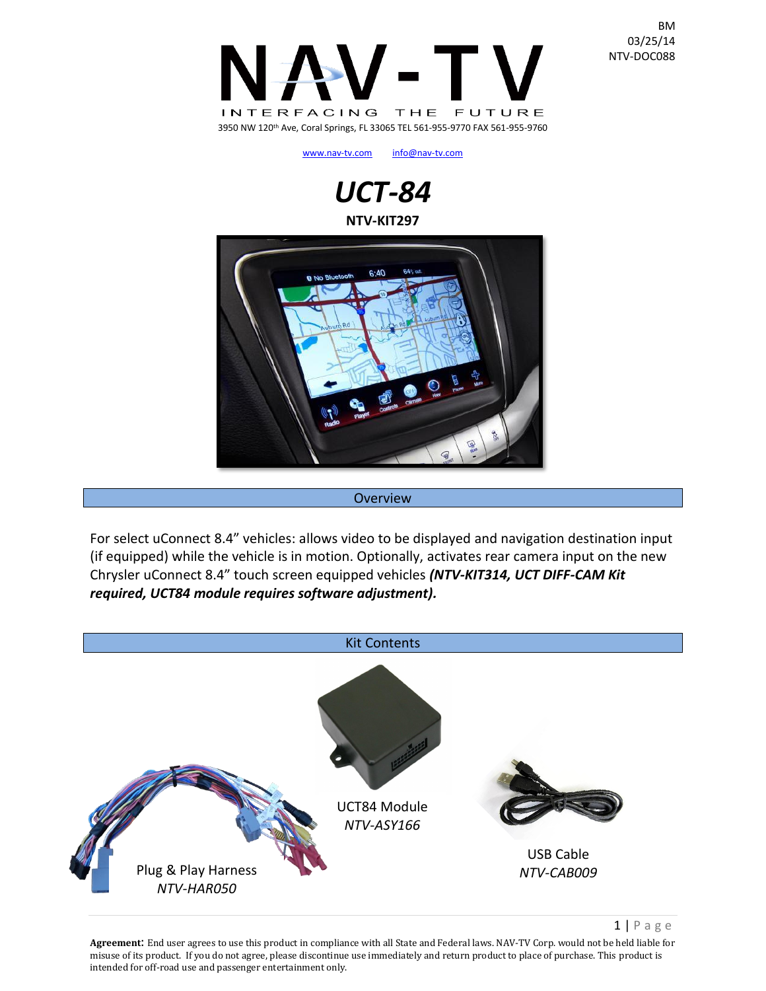

[www.nav-tv.com](http://www.nav-tv.com/) [info@nav-tv.com](mailto:info@nav-tv.com)

# *UCT-84* **NTV-KIT297**



#### **Overview**

For select uConnect 8.4" vehicles: allows video to be displayed and navigation destination input (if equipped) while the vehicle is in motion. Optionally, activates rear camera input on the new Chrysler uConnect 8.4" touch screen equipped vehicles *(NTV-KIT314, UCT DIFF-CAM Kit required, UCT84 module requires software adjustment).*



 $1 | P \text{ a ge}$ 

**Agreement**: End user agrees to use this product in compliance with all State and Federal laws. NAV-TV Corp. would not be held liable for misuse of its product. If you do not agree, please discontinue use immediately and return product to place of purchase. This product is intended for off-road use and passenger entertainment only.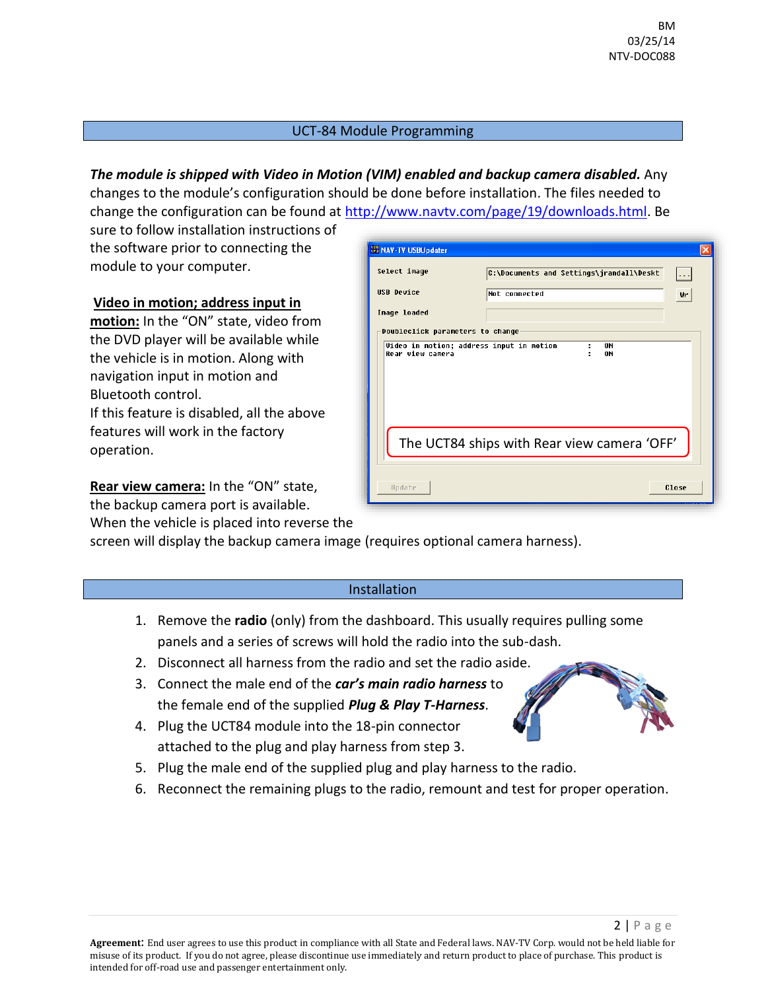## UCT-84 Module Programming

*The module is shipped with Video in Motion (VIM) enabled and backup camera disabled.* Any changes to the module's configuration should be done before installation. The files needed to change the configuration can be found at [http://www.navtv.com/page/19/downloads.html.](http://www.navtv.com/page/19/downloads.html) Be

sure to follow installation instructions of the software prior to connecting the module to your computer.

### **Video in motion; address input in**

**motion:** In the "ON" state, video from the DVD player will be available while the vehicle is in motion. Along with navigation input in motion and Bluetooth control. If this feature is disabled, all the above features will work in the factory operation.

**Rear view camera:** In the "ON" state, the backup camera port is available. When the vehicle is placed into reverse the

| <b>UPB</b> NAV-TV USBUpdater                |                                          |                      |  |  |
|---------------------------------------------|------------------------------------------|----------------------|--|--|
| Select image                                | C:\Documents and Settings\jrandall\Deskt | $\sim$ $\sim$ $\sim$ |  |  |
| <b>USB Device</b>                           | Not connected                            | Wr                   |  |  |
| Image loaded                                |                                          |                      |  |  |
| Doubleclick parameters to change            |                                          |                      |  |  |
| Rear view camera                            | 0N                                       |                      |  |  |
| The UCT84 ships with Rear view camera 'OFF' |                                          |                      |  |  |
| Update                                      |                                          | Close                |  |  |

screen will display the backup camera image (requires optional camera harness).

#### Installation

- 1. Remove the **radio** (only) from the dashboard. This usually requires pulling some panels and a series of screws will hold the radio into the sub-dash.
- 2. Disconnect all harness from the radio and set the radio aside.
- 3. Connect the male end of the *car's main radio harness* to the female end of the supplied *Plug & Play T-Harness*.
- 4. Plug the UCT84 module into the 18-pin connector attached to the plug and play harness from step 3.
- 5. Plug the male end of the supplied plug and play harness to the radio.
- 6. Reconnect the remaining plugs to the radio, remount and test for proper operation.

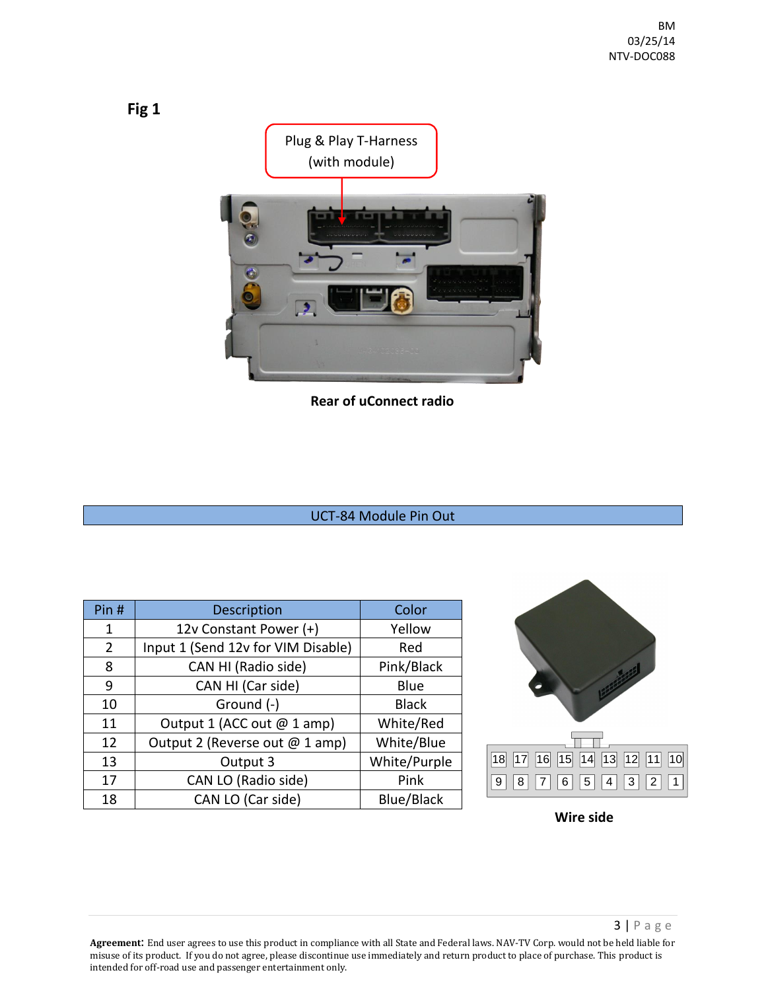

**Rear of uConnect radio**

## UCT-84 Module Pin Out

| Pin # | <b>Description</b>                 | Color             |
|-------|------------------------------------|-------------------|
| 1     | 12v Constant Power (+)             | Yellow            |
| 2     | Input 1 (Send 12v for VIM Disable) | Red               |
| 8     | CAN HI (Radio side)                | Pink/Black        |
| 9     | CAN HI (Car side)                  | Blue              |
| 10    | Ground (-)                         | <b>Black</b>      |
| 11    | Output 1 (ACC out @ 1 amp)         | White/Red         |
| 12    | Output 2 (Reverse out @ 1 amp)     | White/Blue        |
| 13    | Output 3                           | White/Purple      |
| 17    | CAN LO (Radio side)                | Pink              |
| 18    | CAN LO (Car side)                  | <b>Blue/Black</b> |



**Wire side**

**Agreement**: End user agrees to use this product in compliance with all State and Federal laws. NAV-TV Corp. would not be held liable for misuse of its product. If you do not agree, please discontinue use immediately and return product to place of purchase. This product is intended for off-road use and passenger entertainment only.